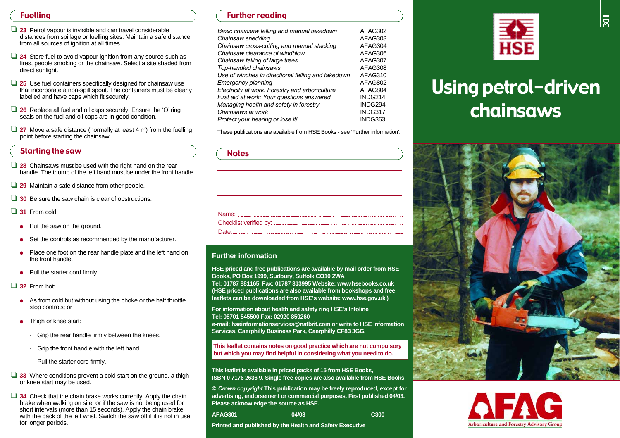# Fuelling

- ❏ **2 3** Petrol vapour is invisible and can travel considerable distances from spillage or fuelling sites. Maintain a safe distance from all sources of ignition at all times.
- **□ 24** Store fuel to avoid vapour ignition from any source such as fires, people smoking or the chainsaw. Select a site shaded from direct sunlight.
- □ 25 Use fuel containers specifically designed for chainsaw use that incorporate a non-spill spout. The containers must be clearly labelled and have caps which fit securely.
- □ 26 Replace all fuel and oil caps securely. Ensure the 'O' ring seals on the fuel and oil caps are in good condition.
- □ 27 Move a safe distance (normally at least 4 m) from the fuelling point before starting the chainsaw.

# Starting the saw

- □ 28 Chainsaws must be used with the right hand on the rear handle. The thumb of the left hand must be under the front handle.
- □ 29 Maintain a safe distance from other people.
- **□ 30** Be sure the saw chain is clear of obstructions.
- □ 31 From cold:
- Put the saw on the ground.
- ●Set the controls as recommended by the manufacturer.
- ● Place one foot on the rear handle plate and the left hand on the front handle.
- ●Pull the starter cord firmly.

□ 32 From hot:

- As from cold but without using the choke or the half throttle stop controls; or
- ● Thigh or knee start:
	- Grip the rear handle firmly between the knees.
	- Grip the front handle with the left hand.
	- Pull the starter cord firmly.
- ❏ **3 3** Where conditions prevent a cold start on the ground, a thigh or knee start may be used.
- **□ 34** Check that the chain brake works correctly. Apply the chain brake when walking on site, or if the saw is not being used for short intervals (more than 15 seconds). Apply the chain brake with the back of the left wrist. Switch the saw off if it is not in use for longer periods.

# Further reading

| Basic chainsaw felling and manual takedown         | AFAG302 |
|----------------------------------------------------|---------|
| Chainsaw snedding                                  | AFAG303 |
| Chainsaw cross-cutting and manual stacking         | AFAG304 |
| Chainsaw clearance of windblow                     | AFAG306 |
| Chainsaw felling of large trees                    | AFAG307 |
| Top-handled chainsaws                              | AFAG308 |
| Use of winches in directional felling and takedown | AFAG310 |
| Emergency planning                                 | AFAG802 |
| Electricity at work: Forestry and arboriculture    | AFAG804 |
| First aid at work: Your questions answered         | INDG214 |
| Managing health and safety in forestry             | INDG294 |
| Chainsaws at work                                  | INDG317 |
| Protect your hearing or lose it!                   | INDG363 |

These publications are available from HSE Books - see 'Further information'.

| <b>Notes</b>                                                                                                                 |  |
|------------------------------------------------------------------------------------------------------------------------------|--|
|                                                                                                                              |  |
|                                                                                                                              |  |
|                                                                                                                              |  |
|                                                                                                                              |  |
|                                                                                                                              |  |
|                                                                                                                              |  |
| `Ate`<br>.<br>Administrativamente de conservação de compañeira de conservação de conservação de conservação de conservação d |  |

### **Further information**

**HSE priced and free publications are available by mail order from HSE Books, PO Box 1999, Sudbury, Suffolk CO10 2WA**

Tel: 01787 881165 Fax: 01787 313995 Website: www.hsebooks.co.uk **(HSE priced publications are also available from bookshops and free** leaflets can be downloaded from HSE's website: www.hse.gov.uk.)

**For information about health and safety ring HSE's Infoline Tel: 08701 545500 Fax: 02920 859260 e-mail: hseinformationservices@natbrit.com or write to HSE InformationServices, Caerphilly Business Park, Caerphilly CF83 3GG.** 

**This leaflet contains notes on good practice which are not compulsory but which you may find helpful in considering what you need to do.**

**This leaflet is available in priced packs of 15 from HSE Books, ISBN 0 7176 2636 9. Single free copies are also available from HSE Books.** 

**©** *Crown copyright* **This publication may be freely reproduced, except for advertising, endorsement or commercial purposes. First published 04/03. Please acknowledge the source as HSE.**

| AFAG301 | 04/03 | C <sub>300</sub> |
|---------|-------|------------------|
|         |       |                  |

**Printed and published by the Health and Safety Executive**



# Using petrol-driven chainsaws